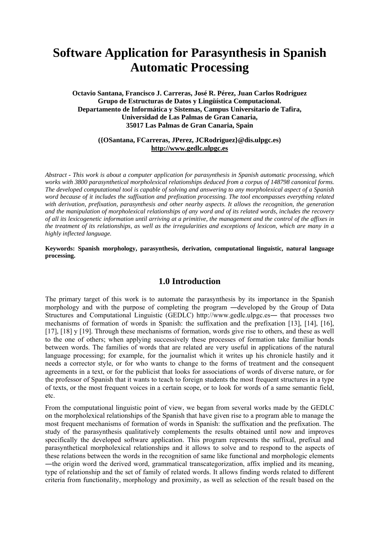# **Software Application for Parasynthesis in Spanish Automatic Processing**

**Octavio Santana, Francisco J. Carreras, José R. Pérez, Juan Carlos Rodríguez Grupo de Estructuras de Datos y Lingüística Computacional. Departamento de Informática y Sistemas, Campus Universitario de Tafira, Universidad de Las Palmas de Gran Canaria, 35017 Las Palmas de Gran Canaria, Spain** 

#### **({OSantana, FCarreras, JPerez, JCRodriguez}@dis.ulpgc.es) http://www.gedlc.ulpgc.es**

*Abstract - This work is about a computer application for parasynthesis in Spanish automatic processing, which works with 3800 parasynthetical morpholexical relationships deduced from a corpus of 148798 canonical forms. The developed computational tool is capable of solving and answering to any morpholexical aspect of a Spanish word because of it includes the suffixation and prefixation processing. The tool encompasses everything related*  with derivation, prefixation, parasynthesis and other nearby aspects. It allows the recognition, the generation *and the manipulation of morpholexical relationships of any word and of its related words, includes the recovery of all its lexicogenetic information until arriving at a primitive, the management and the control of the affixes in the treatment of its relationships, as well as the irregularities and exceptions of lexicon, which are many in a highly inflected language.* 

**Keywords: Spanish morphology, parasynthesis, derivation, computational linguistic, natural language processing.** 

## **1.0 Introduction**

The primary target of this work is to automate the parasynthesis by its importance in the Spanish morphology and with the purpose of completing the program ―developed by the Group of Data Structures and Computational Linguistic (GEDLC) http://www.gedlc.ulpgc.es― that processes two mechanisms of formation of words in Spanish: the suffixation and the prefixation [13], [14], [16], [17], [18] y [19]. Through these mechanisms of formation, words give rise to others, and these as well to the one of others; when applying successively these processes of formation take familiar bonds between words. The families of words that are related are very useful in applications of the natural language processing; for example, for the journalist which it writes up his chronicle hastily and it needs a corrector style, or for who wants to change to the forms of treatment and the consequent agreements in a text, or for the publicist that looks for associations of words of diverse nature, or for the professor of Spanish that it wants to teach to foreign students the most frequent structures in a type of texts, or the most frequent voices in a certain scope, or to look for words of a same semantic field, etc.

From the computational linguistic point of view, we began from several works made by the GEDLC on the morpholexical relationships of the Spanish that have given rise to a program able to manage the most frequent mechanisms of formation of words in Spanish: the suffixation and the prefixation. The study of the parasynthesis qualitatively complements the results obtained until now and improves specifically the developed software application. This program represents the suffixal, prefixal and parasynthetical morpholexical relationships and it allows to solve and to respond to the aspects of these relations between the words in the recognition of same like functional and morphologic elements ―the origin word the derived word, grammatical transcategorization, affix implied and its meaning, type of relationship and the set of family of related words. It allows finding words related to different criteria from functionality, morphology and proximity, as well as selection of the result based on the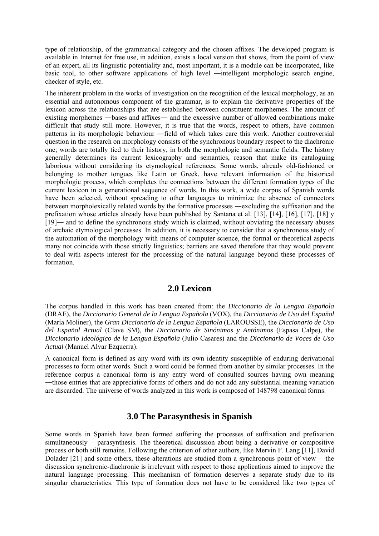type of relationship, of the grammatical category and the chosen affixes. The developed program is available in Internet for free use, in addition, exists a local version that shows, from the point of view of an expert, all its linguistic potentiality and, most important, it is a module can be incorporated, like basic tool, to other software applications of high level ―intelligent morphologic search engine, checker of style, etc.

The inherent problem in the works of investigation on the recognition of the lexical morphology, as an essential and autonomous component of the grammar, is to explain the derivative properties of the lexicon across the relationships that are established between constituent morphemes. The amount of existing morphemes ―bases and affixes― and the excessive number of allowed combinations make difficult that study still more. However, it is true that the words, respect to others, have common patterns in its morphologic behaviour ―field of which takes care this work. Another controversial question in the research on morphology consists of the synchronous boundary respect to the diachronic one; words are totally tied to their history, in both the morphologic and semantic fields. The history generally determines its current lexicography and semantics, reason that make its cataloguing laborious without considering its etymological references. Some words, already old-fashioned or belonging to mother tongues like Latin or Greek, have relevant information of the historical morphologic process, which completes the connections between the different formation types of the current lexicon in a generational sequence of words. In this work, a wide corpus of Spanish words have been selected, without spreading to other languages to minimize the absence of connectors between morpholexically related words by the formative processes ―excluding the suffixation and the prefixation whose articles already have been published by Santana et al. [13], [14], [16], [17], [18] y [19]— and to define the synchronous study which is claimed, without obviating the necessary abuses of archaic etymological processes. In addition, it is necessary to consider that a synchronous study of the automation of the morphology with means of computer science, the formal or theoretical aspects many not coincide with those strictly linguistics; barriers are saved therefore that they would prevent to deal with aspects interest for the processing of the natural language beyond these processes of formation.

## **2.0 Lexicon**

The corpus handled in this work has been created from: the *Diccionario de la Lengua Española* (DRAE), the *Diccionario General de la Lengua Española* (VOX), the *Diccionario de Uso del Español* (María Moliner), the *Gran Diccionario de la Lengua Española* (LAROUSSE), the *Diccionario de Uso del Español Actual* (Clave SM), the *Diccionario de Sinónimos y Antónimos* (Espasa Calpe), the *Diccionario Ideológico de la Lengua Española* (Julio Casares) and the *Diccionario de Voces de Uso Actual* (Manuel Alvar Ezquerra).

A canonical form is defined as any word with its own identity susceptible of enduring derivational processes to form other words. Such a word could be formed from another by similar processes. In the reference corpus a canonical form is any entry word of consulted sources having own meaning ―those entries that are appreciative forms of others and do not add any substantial meaning variation are discarded. The universe of words analyzed in this work is composed of 148798 canonical forms.

## **3.0 The Parasynthesis in Spanish**

Some words in Spanish have been formed suffering the processes of suffixation and prefixation simultaneously —parasynthesis. The theoretical discussion about being a derivative or compositive process or both still remains. Following the criterion of other authors, like Mervin F. Lang [11], David Dolader [21] and some others, these alterations are studied from a synchronous point of view —the discussion synchronic-diachronic is irrelevant with respect to those applications aimed to improve the natural language processing. This mechanism of formation deserves a separate study due to its singular characteristics. This type of formation does not have to be considered like two types of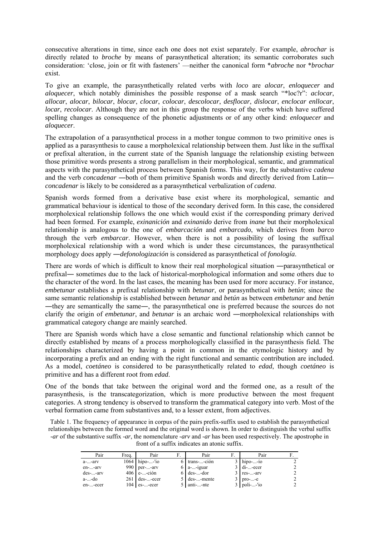consecutive alterations in time, since each one does not exist separately. For example, *abrochar* is directly related to *broche* by means of parasynthetical alteration; its semantic corroborates such consideration: 'close, join or fit with fasteners' —neither the canonical form \**abroche* nor \**brochar* exist.

To give an example, the parasynthetically related verbs with *loco* are *alocar*, *enloquecer* and *aloquecer*, which notably diminishes the possible response of a mask search "\*loc?r": *aclocar*, *allocar*, *alocar*, *bilocar*, *blocar*, *clocar*, *colocar*, *descolocar*, *desflocar*, *dislocar*, *enclocar enllocar*, *locar*, *recolocar*. Although they are not in this group the response of the verbs which have suffered spelling changes as consequence of the phonetic adjustments or of any other kind: *enloquecer* and *aloquecer*.

The extrapolation of a parasynthetical process in a mother tongue common to two primitive ones is applied as a parasynthesis to cause a morpholexical relationship between them. Just like in the suffixal or prefixal alteration, in the current state of the Spanish language the relationship existing between those primitive words presents a strong parallelism in their morphological, semantic, and grammatical aspects with the parasynthetical process between Spanish forms. This way, for the substantive *cadena* and the verb *concadenar* ―both of them primitive Spanish words and directly derived from Latin― *concadenar* is likely to be considered as a parasynthetical verbalization of *cadena*.

Spanish words formed from a derivative base exist where its morphological, semantic and grammatical behaviour is identical to those of the secondary derived form. In this case, the considered morpholexical relationship follows the one which would exist if the corresponding primary derived had been formed. For example, *exinanición* and *exinanido* derive from *inane* but their morpholexical relationship is analogous to the one of *embarcación* and *embarcado*, which derives from *barco* through the verb *embarcar*. However, when there is not a possibility of losing the suffixal morpholexical relationship with a word which is under these circumstances, the parasynthetical morphology does apply ―*defonologización* is considered as parasynthetical of *fonología*.

There are words of which is difficult to know their real morphological situation ―parasynthetical or prefixal― sometimes due to the lack of historical-morphological information and some others due to the character of the word. In the last cases, the meaning has been used for more accuracy. For instance, *embetunar* establishes a prefixal relationship with *betunar*, or parasynthetical with *betún*; since the same semantic relationship is established between *betunar* and *betún* as between *embetunar* and *betún* ―they are semantically the same―, the parasynthetical one is preferred because the sources do not clarify the origin of *embetunar*, and *betunar* is an archaic word ―morpholexical relationships with grammatical category change are mainly searched.

There are Spanish words which have a close semantic and functional relationship which cannot be directly established by means of a process morphologically classified in the parasynthesis field. The relationships characterized by having a point in common in the etymologic history and by incorporating a prefix and an ending with the right functional and semantic contribution are included. As a model, *coetáneo* is considered to be parasynthetically related to *edad*, though *coetáneo* is primitive and has a different root from *edad*.

One of the bonds that take between the original word and the formed one, as a result of the parasynthesis, is the transcategorization, which is more productive between the most frequent categories. A strong tendency is observed to transform the grammatical category into verb. Most of the verbal formation came from substantives and, to a lesser extent, from adjectives.

Table 1. The frequency of appearance in corpus of the pairs prefix-suffix used to establish the parasynthetical relationships between the formed word and the original word is shown. In order to distinguish the verbal suffix *-ar* of the substantive suffix *-ar*, the nomenclature *-arv* and *-ar* has been used respectively. The apostrophe in front of a suffix indicates an atonic suffix.

| Pair           | Frea. | Pair             | Pair                    | Pair          |  |
|----------------|-------|------------------|-------------------------|---------------|--|
| $a$ -- $arv$   |       | $1064$ hipo--'io | $6$ trans--ción         | $3$ hipo--io  |  |
| en--arv        |       | 990 $per$ -arv   | $6 \, \text{a}$ --iguar | $3$ di--ecer  |  |
| $des$ -- $arv$ |       | $406$ e--ción    | $6$ des--dor            | $3$ res--arv  |  |
| a--do          |       | $261$ des--ecer  | 5 des--mente            | $3$ pro--e    |  |
| en--ecer       |       | $104$ es--ecer   | 5 anti--nte             | $3$ poli--'io |  |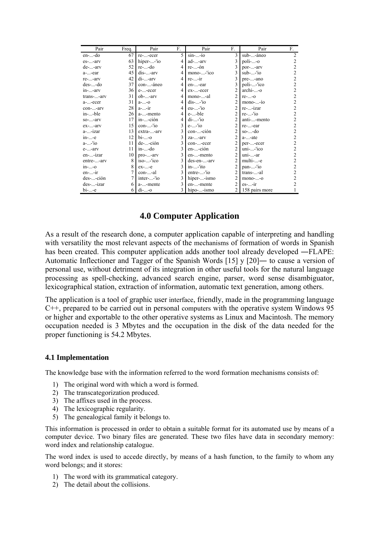| Pair                               | Freq. | Pair                 | F. | Pair         | F.             | Pair            | F.                      |
|------------------------------------|-------|----------------------|----|--------------|----------------|-----------------|-------------------------|
| en--do                             | 67    | re--ecer             | 5  | $sin$ --io   | 3              | sub--áneo       | $\overline{2}$          |
| es--arv                            | 63    | hiper--lo            | 4  | ad--arv      | 3              | $poli-.-o$      | $\overline{c}$          |
| $de$ -- $arv$                      | 52    | re--do               | 4  | re--ón       | 3              | por--arv        | $\overline{2}$          |
| $a$ --ear                          | 45    | $dis$ -- $arv$       | 4  | mono--'ico   | 3              | $sub-.$ -'io    | $\overline{c}$          |
| re--arv                            | 42    | $di$ -- $arv$        | 4  | $re$ -- $ir$ | 3              | pre--ano        | $\overline{c}$          |
| $des$ --do                         | 37    | con--áneo            | 4  | en--ear      | 3              | poli--'ico      | $\overline{c}$          |
| in--arv                            | 36 I  | e--ecer              | 4  | ex--ecer     | 2              | archi--o        | $\overline{\mathbf{c}}$ |
| trans--arv                         | 31    | ob--arv              | 4  | mono--al     | $\overline{2}$ | $re-. -o$       | $\overline{c}$          |
| a--ecer                            | 31    | $a -  - 0$           | 4  | $dis$ --'io  |                | $mono$ --io     | $\overline{c}$          |
| con--arv                           | 28    | $a$ <sup>-</sup> -ir | 4  | $eu$ -- $io$ | $\overline{2}$ | re--izar        | $\overline{c}$          |
| in--ble                            | 26 I  | a--mento             | 4  | e--ble       | $\overline{2}$ | $re$ --'io      | $\overline{c}$          |
| $so$ -- $arv$                      | 17    | in--ción             | 4  | $di$ -- $io$ | $\overline{2}$ | anti--mento     | $\overline{c}$          |
| $ex$ -- $arv$                      | 15    | $con---'io$          | 3  | $e$ --'io    | $\overline{2}$ | re--ear         | $\overline{c}$          |
| a--izar                            | 13    | extra--arv           | 3  | con--ción    | $\overline{2}$ | $so$ --do       | $\overline{c}$          |
| $in$ --e                           | 12    | $bi$ --0             | 3  | za--arv      | $\mathfrak{D}$ | $a$ -- $ate$    | $\overline{c}$          |
| $a$ <sup>-</sup> - <sup>'</sup> io | 11    | de--ción             | 3  | con--ecer    | $\mathfrak{D}$ | per--ecer       | $\overline{c}$          |
| $e$ -- $arv$                       | 11    | $in$ --do            | 3  | en--ción     | $\overline{c}$ | $uni$ -- $'ico$ | $\overline{c}$          |
| en--izar                           | 10    | pro--arv             | 3  | en--mento    | $\overline{c}$ | $uni$ -- $ar$   | $\overline{c}$          |
| entre--arv                         | 8     | $iso$ -- $'ico$      | 3  | des-en--arv  | $\overline{c}$ | multi--e        | $\overline{c}$          |
| $in$ --0                           | 8     | $ex$ -- $e$          | 3  | in--'ito     | 2              | $pan$ --'io     | $\overline{c}$          |
| $en$ -- $ir$                       |       | con--al              | 3  | entre--'io   | $\overline{2}$ | trans--al       | $\overline{c}$          |
| des--ción                          |       | inter--'io           | 3  | hiper--ismo  | $\overline{2}$ | $mono$ -- $o$   | $\overline{c}$          |
| des--izar                          | 6     | a--mente             | 3  | en--mente    | $\overline{2}$ | $es$ -- $ir$    | $\overline{c}$          |
| $bi$ -- $e$                        | 6     | $di$ --o             | 3  | hipo--ismo   |                | 158 pairs more  |                         |

# **4.0 Computer Application**

As a result of the research done, a computer application capable of interpreting and handling with versatility the most relevant aspects of the mechanisms of formation of words in Spanish has been created. This computer application adds another tool already developed —FLAPE: Automatic Inflectioner and Tagger of the Spanish Words [15] y [20]― to cause a version of personal use, without detriment of its integration in other useful tools for the natural language processing as spell-checking, advanced search engine, parser, word sense disambiguator, lexicographical station, extraction of information, automatic text generation, among others.

The application is a tool of graphic user interface, friendly, made in the programming language C++, prepared to be carried out in personal computers with the operative system Windows 95 or higher and exportable to the other operative systems as Linux and Macintosh. The memory occupation needed is 3 Mbytes and the occupation in the disk of the data needed for the proper functioning is 54.2 Mbytes.

## **4.1 Implementation**

The knowledge base with the information referred to the word formation mechanisms consists of:

- 1) The original word with which a word is formed.
- 2) The transcategorization produced.
- 3) The affixes used in the process.
- 4) The lexicographic regularity.
- 5) The genealogical family it belongs to.

This information is processed in order to obtain a suitable format for its automated use by means of a computer device. Two binary files are generated. These two files have data in secondary memory: word index and relationship catalogue.

The word index is used to accede directly, by means of a hash function, to the family to whom any word belongs; and it stores:

- 1) The word with its grammatical category.
- 2) The detail about the collisions.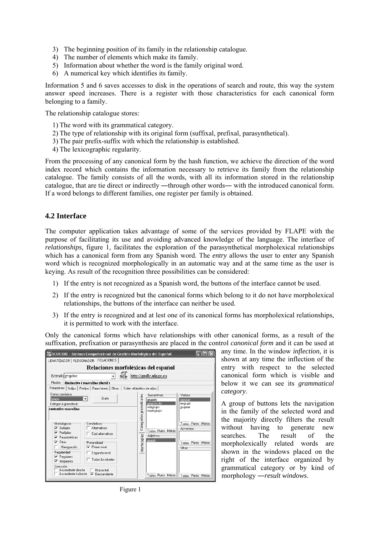- 3) The beginning position of its family in the relationship catalogue.
- 4) The number of elements which make its family.
- 5) Information about whether the word is the family original word.
- 6) A numerical key which identifies its family.

Information 5 and 6 saves accesses to disk in the operations of search and route, this way the system answer speed increases. There is a register with those characteristics for each canonical form belonging to a family.

The relationship catalogue stores:

- 1) The word with its grammatical category.
- 2) The type of relationship with its original form (suffixal, prefixal, parasynthetical).
- 3) The pair prefix-suffix with which the relationship is established.
- 4) The lexicographic regularity.

From the processing of any canonical form by the hash function, we achieve the direction of the word index record which contains the information necessary to retrieve its family from the relationship catalogue. The family consists of all the words, with all its information stored in the relationship catalogue, that are tie direct or indirectly —through other words— with the introduced canonical form. If a word belongs to different families, one register per family is obtained.

## **4.2 Interface**

The computer application takes advantage of some of the services provided by FLAPE with the purpose of facilitating its use and avoiding advanced knowledge of the language. The interface of *relationships*, figure 1, facilitates the exploration of the parasynthetical morpholexical relationships which has a canonical form from any Spanish word. The *entry* allows the user to enter any Spanish word which is recognized morphologically in an automatic way and at the same time as the user is keying. As result of the recognition three possibilities can be considered:

- 1) If the entry is not recognized as a Spanish word, the buttons of the interface cannot be used.
- 2) If the entry is recognized but the canonical forms which belong to it do not have morpholexical relationships, the buttons of the interface can neither be used.
- 3) If the entry is recognized and at lest one of its canonical forms has morpholexical relationships, it is permitted to work with the interface.

Only the canonical forms which have relationships with other canonical forms, as a result of the suffixation, prefixation or parasynthesis are placed in the control *canonical form* and it can be used at



any time. In the window *inflection*, it is shown at any time the inflection of the entry with respect to the selected canonical form which is visible and below it we can see its *grammatical category*.

A group of buttons lets the navigation in the family of the selected word and the majority directly filters the result without having to generate new searches. The result of the morpholexically related words are shown in the windows placed on the right of the interface organized by grammatical category or by kind of morphology ―*result windows*.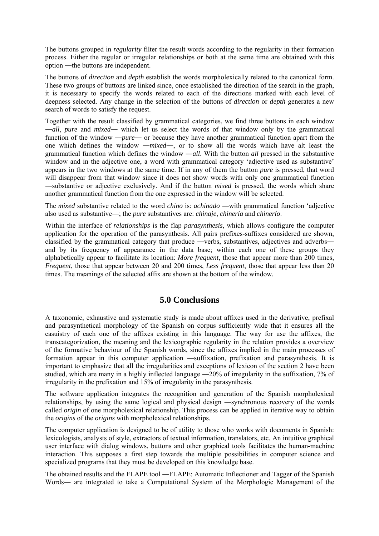The buttons grouped in *regularity* filter the result words according to the regularity in their formation process. Either the regular or irregular relationships or both at the same time are obtained with this option ―the buttons are independent.

The buttons of *direction* and *depth* establish the words morpholexically related to the canonical form. These two groups of buttons are linked since, once established the direction of the search in the graph, it is necessary to specify the words related to each of the directions marked with each level of deepness selected. Any change in the selection of the buttons of *direction* or *depth* generates a new search of words to satisfy the request.

Together with the result classified by grammatical categories, we find three buttons in each window ―*all*, *pure* and *mixed*― which let us select the words of that window only by the grammatical function of the window —*pure*— or because they have another grammatical function apart from the one which defines the window ―*mixed*―, or to show all the words which have alt least the grammatical function which defines the window ―*all*. With the button *all* pressed in the substantive window and in the adjective one, a word with grammatical category 'adjective used as substantive' appears in the two windows at the same time. If in any of them the button *pure* is pressed, that word will disappear from that window since it does not show words with only one grammatical function ―substantive or adjective exclusively. And if the button *mixed* is pressed, the words which share another grammatical function from the one expressed in the window will be selected.

The *mixed* substantive related to the word *chino* is: *achinado* ―with grammatical function 'adjective also used as substantive―; the *pure* substantives are: *chinaje*, *chinería* and *chinerío*.

Within the interface of *relationships* is the flap *parasynthesis*, which allows configure the computer application for the operation of the parasynthesis. All pairs prefixes-suffixes considered are shown, classified by the grammatical category that produce ―verbs, substantives, adjectives and adverbs― and by its frequency of appearance in the data base; within each one of these groups they alphabetically appear to facilitate its location: *More frequent*, those that appear more than 200 times, *Frequent*, those that appear between 20 and 200 times, *Less frequent*, those that appear less than 20 times. The meanings of the selected affix are shown at the bottom of the window.

## **5.0 Conclusions**

A taxonomic, exhaustive and systematic study is made about affixes used in the derivative, prefixal and parasynthetical morphology of the Spanish on corpus sufficiently wide that it ensures all the casuistry of each one of the affixes existing in this language. The way for use the affixes, the transcategorization, the meaning and the lexicographic regularity in the relation provides a overview of the formative behaviour of the Spanish words, since the affixes implied in the main processes of formation appear in this computer application ―suffixation, prefixation and parasynthesis. It is important to emphasize that all the irregularities and exceptions of lexicon of the section 2 have been studied, which are many in a highly inflected language ―20% of irregularity in the suffixation, 7% of irregularity in the prefixation and 15% of irregularity in the parasynthesis.

The software application integrates the recognition and generation of the Spanish morpholexical relationships, by using the same logical and physical design ―synchronous recovery of the words called *origin* of one morpholexical relationship. This process can be applied in iterative way to obtain the *origins* of the *origins* with morpholexical relationships.

The computer application is designed to be of utility to those who works with documents in Spanish: lexicologists, analysts of style, extractors of textual information, translators, etc. An intuitive graphical user interface with dialog windows, buttons and other graphical tools facilitates the human-machine interaction. This supposes a first step towards the multiple possibilities in computer science and specialized programs that they must be developed on this knowledge base.

The obtained results and the FLAPE tool ―FLAPE: Automatic Inflectioner and Tagger of the Spanish Words― are integrated to take a Computational System of the Morphologic Management of the